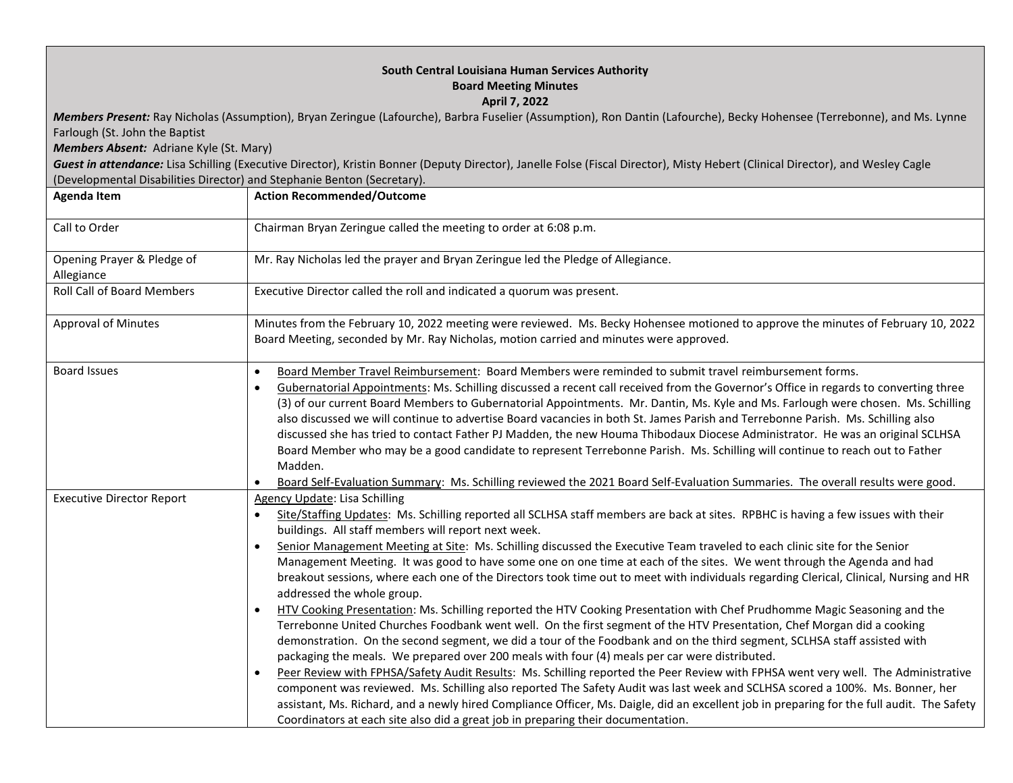| South Central Louisiana Human Services Authority<br><b>Board Meeting Minutes</b><br><b>April 7, 2022</b><br>Members Present: Ray Nicholas (Assumption), Bryan Zeringue (Lafourche), Barbra Fuselier (Assumption), Ron Dantin (Lafourche), Becky Hohensee (Terrebonne), and Ms. Lynne<br>Farlough (St. John the Baptist<br>Members Absent: Adriane Kyle (St. Mary)<br>Guest in attendance: Lisa Schilling (Executive Director), Kristin Bonner (Deputy Director), Janelle Folse (Fiscal Director), Misty Hebert (Clinical Director), and Wesley Cagle<br>(Developmental Disabilities Director) and Stephanie Benton (Secretary). |                                                                                                                                                                                                                                                                                                                                                                                                                                                                                                                                                                                                                                                                                                                                                                                                                                                                                                                                                                                                                                                                                                                                                                                                                                                                                                                                                                                                                                                                                                                                                                                                                                                                              |  |
|---------------------------------------------------------------------------------------------------------------------------------------------------------------------------------------------------------------------------------------------------------------------------------------------------------------------------------------------------------------------------------------------------------------------------------------------------------------------------------------------------------------------------------------------------------------------------------------------------------------------------------|------------------------------------------------------------------------------------------------------------------------------------------------------------------------------------------------------------------------------------------------------------------------------------------------------------------------------------------------------------------------------------------------------------------------------------------------------------------------------------------------------------------------------------------------------------------------------------------------------------------------------------------------------------------------------------------------------------------------------------------------------------------------------------------------------------------------------------------------------------------------------------------------------------------------------------------------------------------------------------------------------------------------------------------------------------------------------------------------------------------------------------------------------------------------------------------------------------------------------------------------------------------------------------------------------------------------------------------------------------------------------------------------------------------------------------------------------------------------------------------------------------------------------------------------------------------------------------------------------------------------------------------------------------------------------|--|
| <b>Agenda Item</b>                                                                                                                                                                                                                                                                                                                                                                                                                                                                                                                                                                                                              | <b>Action Recommended/Outcome</b>                                                                                                                                                                                                                                                                                                                                                                                                                                                                                                                                                                                                                                                                                                                                                                                                                                                                                                                                                                                                                                                                                                                                                                                                                                                                                                                                                                                                                                                                                                                                                                                                                                            |  |
| Call to Order                                                                                                                                                                                                                                                                                                                                                                                                                                                                                                                                                                                                                   | Chairman Bryan Zeringue called the meeting to order at 6:08 p.m.                                                                                                                                                                                                                                                                                                                                                                                                                                                                                                                                                                                                                                                                                                                                                                                                                                                                                                                                                                                                                                                                                                                                                                                                                                                                                                                                                                                                                                                                                                                                                                                                             |  |
| Opening Prayer & Pledge of<br>Allegiance                                                                                                                                                                                                                                                                                                                                                                                                                                                                                                                                                                                        | Mr. Ray Nicholas led the prayer and Bryan Zeringue led the Pledge of Allegiance.                                                                                                                                                                                                                                                                                                                                                                                                                                                                                                                                                                                                                                                                                                                                                                                                                                                                                                                                                                                                                                                                                                                                                                                                                                                                                                                                                                                                                                                                                                                                                                                             |  |
| <b>Roll Call of Board Members</b>                                                                                                                                                                                                                                                                                                                                                                                                                                                                                                                                                                                               | Executive Director called the roll and indicated a quorum was present.                                                                                                                                                                                                                                                                                                                                                                                                                                                                                                                                                                                                                                                                                                                                                                                                                                                                                                                                                                                                                                                                                                                                                                                                                                                                                                                                                                                                                                                                                                                                                                                                       |  |
| <b>Approval of Minutes</b>                                                                                                                                                                                                                                                                                                                                                                                                                                                                                                                                                                                                      | Minutes from the February 10, 2022 meeting were reviewed. Ms. Becky Hohensee motioned to approve the minutes of February 10, 2022<br>Board Meeting, seconded by Mr. Ray Nicholas, motion carried and minutes were approved.                                                                                                                                                                                                                                                                                                                                                                                                                                                                                                                                                                                                                                                                                                                                                                                                                                                                                                                                                                                                                                                                                                                                                                                                                                                                                                                                                                                                                                                  |  |
| <b>Board Issues</b>                                                                                                                                                                                                                                                                                                                                                                                                                                                                                                                                                                                                             | Board Member Travel Reimbursement: Board Members were reminded to submit travel reimbursement forms.<br>$\bullet$<br>Gubernatorial Appointments: Ms. Schilling discussed a recent call received from the Governor's Office in regards to converting three<br>(3) of our current Board Members to Gubernatorial Appointments. Mr. Dantin, Ms. Kyle and Ms. Farlough were chosen. Ms. Schilling<br>also discussed we will continue to advertise Board vacancies in both St. James Parish and Terrebonne Parish. Ms. Schilling also<br>discussed she has tried to contact Father PJ Madden, the new Houma Thibodaux Diocese Administrator. He was an original SCLHSA<br>Board Member who may be a good candidate to represent Terrebonne Parish. Ms. Schilling will continue to reach out to Father<br>Madden.<br>Board Self-Evaluation Summary: Ms. Schilling reviewed the 2021 Board Self-Evaluation Summaries. The overall results were good.                                                                                                                                                                                                                                                                                                                                                                                                                                                                                                                                                                                                                                                                                                                                |  |
| <b>Executive Director Report</b>                                                                                                                                                                                                                                                                                                                                                                                                                                                                                                                                                                                                | Agency Update: Lisa Schilling<br>Site/Staffing Updates: Ms. Schilling reported all SCLHSA staff members are back at sites. RPBHC is having a few issues with their<br>buildings. All staff members will report next week.<br>Senior Management Meeting at Site: Ms. Schilling discussed the Executive Team traveled to each clinic site for the Senior<br>Management Meeting. It was good to have some one on one time at each of the sites. We went through the Agenda and had<br>breakout sessions, where each one of the Directors took time out to meet with individuals regarding Clerical, Clinical, Nursing and HR<br>addressed the whole group.<br>HTV Cooking Presentation: Ms. Schilling reported the HTV Cooking Presentation with Chef Prudhomme Magic Seasoning and the<br>$\bullet$<br>Terrebonne United Churches Foodbank went well. On the first segment of the HTV Presentation, Chef Morgan did a cooking<br>demonstration. On the second segment, we did a tour of the Foodbank and on the third segment, SCLHSA staff assisted with<br>packaging the meals. We prepared over 200 meals with four (4) meals per car were distributed.<br>Peer Review with FPHSA/Safety Audit Results: Ms. Schilling reported the Peer Review with FPHSA went very well. The Administrative<br>$\bullet$<br>component was reviewed. Ms. Schilling also reported The Safety Audit was last week and SCLHSA scored a 100%. Ms. Bonner, her<br>assistant, Ms. Richard, and a newly hired Compliance Officer, Ms. Daigle, did an excellent job in preparing for the full audit. The Safety<br>Coordinators at each site also did a great job in preparing their documentation. |  |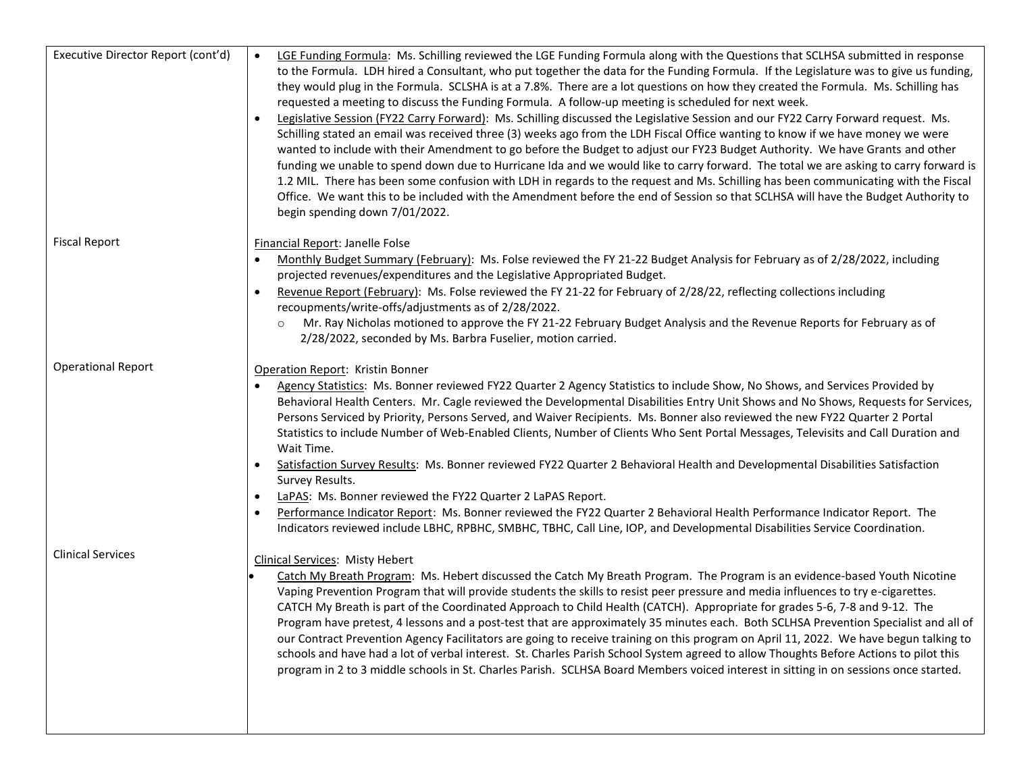| Executive Director Report (cont'd) | LGE Funding Formula: Ms. Schilling reviewed the LGE Funding Formula along with the Questions that SCLHSA submitted in response<br>to the Formula. LDH hired a Consultant, who put together the data for the Funding Formula. If the Legislature was to give us funding,<br>they would plug in the Formula. SCLSHA is at a 7.8%. There are a lot questions on how they created the Formula. Ms. Schilling has<br>requested a meeting to discuss the Funding Formula. A follow-up meeting is scheduled for next week.<br>Legislative Session (FY22 Carry Forward): Ms. Schilling discussed the Legislative Session and our FY22 Carry Forward request. Ms.<br>Schilling stated an email was received three (3) weeks ago from the LDH Fiscal Office wanting to know if we have money we were<br>wanted to include with their Amendment to go before the Budget to adjust our FY23 Budget Authority. We have Grants and other<br>funding we unable to spend down due to Hurricane Ida and we would like to carry forward. The total we are asking to carry forward is<br>1.2 MIL. There has been some confusion with LDH in regards to the request and Ms. Schilling has been communicating with the Fiscal<br>Office. We want this to be included with the Amendment before the end of Session so that SCLHSA will have the Budget Authority to<br>begin spending down 7/01/2022. |
|------------------------------------|---------------------------------------------------------------------------------------------------------------------------------------------------------------------------------------------------------------------------------------------------------------------------------------------------------------------------------------------------------------------------------------------------------------------------------------------------------------------------------------------------------------------------------------------------------------------------------------------------------------------------------------------------------------------------------------------------------------------------------------------------------------------------------------------------------------------------------------------------------------------------------------------------------------------------------------------------------------------------------------------------------------------------------------------------------------------------------------------------------------------------------------------------------------------------------------------------------------------------------------------------------------------------------------------------------------------------------------------------------------------------------|
| <b>Fiscal Report</b>               | Financial Report: Janelle Folse<br>Monthly Budget Summary (February): Ms. Folse reviewed the FY 21-22 Budget Analysis for February as of 2/28/2022, including<br>projected revenues/expenditures and the Legislative Appropriated Budget.<br>Revenue Report (February): Ms. Folse reviewed the FY 21-22 for February of 2/28/22, reflecting collections including<br>recoupments/write-offs/adjustments as of 2/28/2022.<br>Mr. Ray Nicholas motioned to approve the FY 21-22 February Budget Analysis and the Revenue Reports for February as of<br>$\circ$<br>2/28/2022, seconded by Ms. Barbra Fuselier, motion carried.                                                                                                                                                                                                                                                                                                                                                                                                                                                                                                                                                                                                                                                                                                                                                     |
| <b>Operational Report</b>          | Operation Report: Kristin Bonner<br>Agency Statistics: Ms. Bonner reviewed FY22 Quarter 2 Agency Statistics to include Show, No Shows, and Services Provided by<br>Behavioral Health Centers. Mr. Cagle reviewed the Developmental Disabilities Entry Unit Shows and No Shows, Requests for Services,<br>Persons Serviced by Priority, Persons Served, and Waiver Recipients. Ms. Bonner also reviewed the new FY22 Quarter 2 Portal<br>Statistics to include Number of Web-Enabled Clients, Number of Clients Who Sent Portal Messages, Televisits and Call Duration and<br>Wait Time.<br>Satisfaction Survey Results: Ms. Bonner reviewed FY22 Quarter 2 Behavioral Health and Developmental Disabilities Satisfaction<br>Survey Results.<br>LaPAS: Ms. Bonner reviewed the FY22 Quarter 2 LaPAS Report.<br>Performance Indicator Report: Ms. Bonner reviewed the FY22 Quarter 2 Behavioral Health Performance Indicator Report. The<br>Indicators reviewed include LBHC, RPBHC, SMBHC, TBHC, Call Line, IOP, and Developmental Disabilities Service Coordination.                                                                                                                                                                                                                                                                                                            |
| <b>Clinical Services</b>           | <b>Clinical Services: Misty Hebert</b><br>Catch My Breath Program: Ms. Hebert discussed the Catch My Breath Program. The Program is an evidence-based Youth Nicotine<br>Vaping Prevention Program that will provide students the skills to resist peer pressure and media influences to try e-cigarettes.<br>CATCH My Breath is part of the Coordinated Approach to Child Health (CATCH). Appropriate for grades 5-6, 7-8 and 9-12. The<br>Program have pretest, 4 lessons and a post-test that are approximately 35 minutes each. Both SCLHSA Prevention Specialist and all of<br>our Contract Prevention Agency Facilitators are going to receive training on this program on April 11, 2022. We have begun talking to<br>schools and have had a lot of verbal interest. St. Charles Parish School System agreed to allow Thoughts Before Actions to pilot this<br>program in 2 to 3 middle schools in St. Charles Parish. SCLHSA Board Members voiced interest in sitting in on sessions once started.                                                                                                                                                                                                                                                                                                                                                                       |